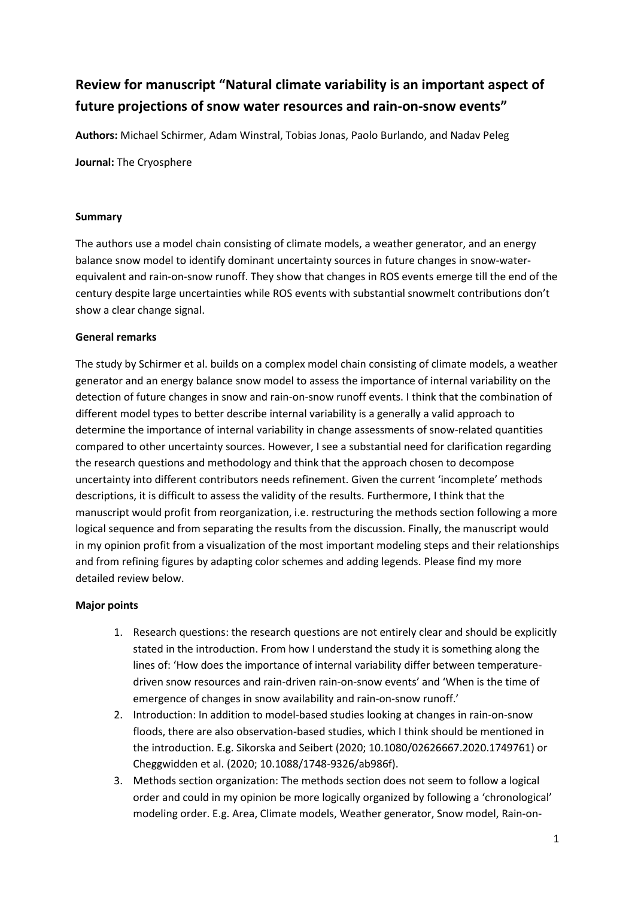# **Review for manuscript "Natural climate variability is an important aspect of future projections of snow water resources and rain-on-snow events"**

**Authors:** Michael Schirmer, Adam Winstral, Tobias Jonas, Paolo Burlando, and Nadav Peleg

**Journal:** The Cryosphere

#### **Summary**

The authors use a model chain consisting of climate models, a weather generator, and an energy balance snow model to identify dominant uncertainty sources in future changes in snow-waterequivalent and rain-on-snow runoff. They show that changes in ROS events emerge till the end of the century despite large uncertainties while ROS events with substantial snowmelt contributions don't show a clear change signal.

#### **General remarks**

The study by Schirmer et al. builds on a complex model chain consisting of climate models, a weather generator and an energy balance snow model to assess the importance of internal variability on the detection of future changes in snow and rain-on-snow runoff events. I think that the combination of different model types to better describe internal variability is a generally a valid approach to determine the importance of internal variability in change assessments of snow-related quantities compared to other uncertainty sources. However, I see a substantial need for clarification regarding the research questions and methodology and think that the approach chosen to decompose uncertainty into different contributors needs refinement. Given the current 'incomplete' methods descriptions, it is difficult to assess the validity of the results. Furthermore, I think that the manuscript would profit from reorganization, i.e. restructuring the methods section following a more logical sequence and from separating the results from the discussion. Finally, the manuscript would in my opinion profit from a visualization of the most important modeling steps and their relationships and from refining figures by adapting color schemes and adding legends. Please find my more detailed review below.

### **Major points**

- 1. Research questions: the research questions are not entirely clear and should be explicitly stated in the introduction. From how I understand the study it is something along the lines of: 'How does the importance of internal variability differ between temperaturedriven snow resources and rain-driven rain-on-snow events' and 'When is the time of emergence of changes in snow availability and rain-on-snow runoff.'
- 2. Introduction: In addition to model-based studies looking at changes in rain-on-snow floods, there are also observation-based studies, which I think should be mentioned in the introduction. E.g. Sikorska and Seibert (2020; 10.1080/02626667.2020.1749761) or Cheggwidden et al. (2020; 10.1088/1748-9326/ab986f).
- 3. Methods section organization: The methods section does not seem to follow a logical order and could in my opinion be more logically organized by following a 'chronological' modeling order. E.g. Area, Climate models, Weather generator, Snow model, Rain-on-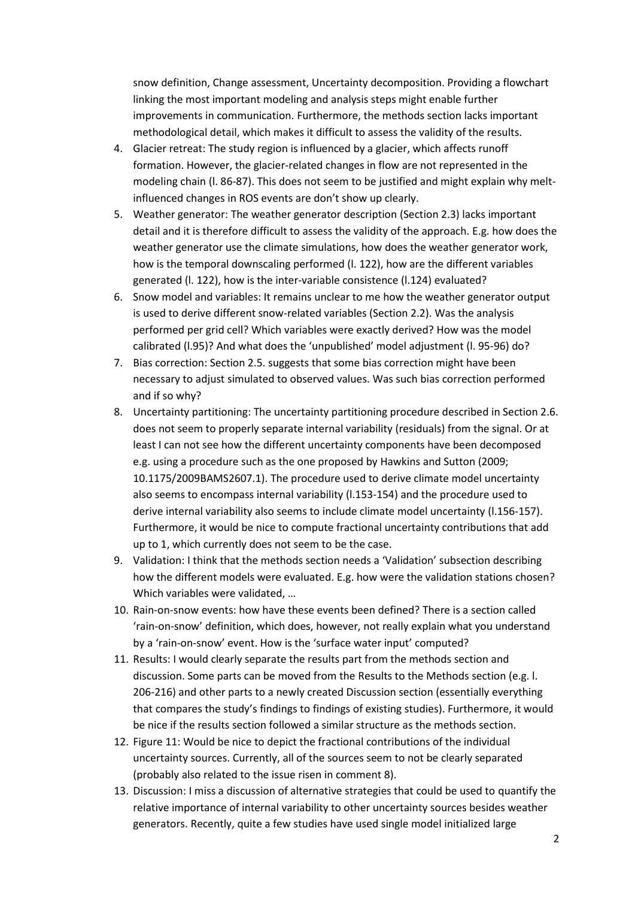snow definition, Change assessment, Uncertainty decomposition. Providing a flowchart linking the most important modeling and analysis steps might enable further improvements in communication. Furthermore, the methods section lacks important methodological detail, which makes it difficult to assess the validity of the results.

- 4. Glacier retreat: The study region is influenced by a glacier, which affects runoff formation. However, the glacier-related changes in flow are not represented in the modeling chain (l. 86-87). This does not seem to be justified and might explain why meltinfluenced changes in ROS events are don't show up clearly.
- 5. Weather generator: The weather generator description (Section 2.3) lacks important detail and it is therefore difficult to assess the validity of the approach. E.g. how does the weather generator use the climate simulations, how does the weather generator work, how is the temporal downscaling performed (l. 122), how are the different variables generated (l. 122), how is the inter-variable consistence (l.124) evaluated?
- 6. Snow model and variables: It remains unclear to me how the weather generator output is used to derive different snow-related variables (Section 2.2). Was the analysis performed per grid cell? Which variables were exactly derived? How was the model calibrated (l.95)? And what does the 'unpublished' model adjustment (l. 95-96) do?
- 7. Bias correction: Section 2.5. suggests that some bias correction might have been necessary to adjust simulated to observed values. Was such bias correction performed and if so why?
- 8. Uncertainty partitioning: The uncertainty partitioning procedure described in Section 2.6. does not seem to properly separate internal variability (residuals) from the signal. Or at least I can not see how the different uncertainty components have been decomposed e.g. using a procedure such as the one proposed by Hawkins and Sutton (2009; [10.1175/2009BAMS2607.1\)](https://doi.org/10.1175/2009BAMS2607.1). The procedure used to derive climate model uncertainty also seems to encompass internal variability (l.153-154) and the procedure used to derive internal variability also seems to include climate model uncertainty (l.156-157). Furthermore, it would be nice to compute fractional uncertainty contributions that add up to 1, which currently does not seem to be the case.
- 9. Validation: I think that the methods section needs a 'Validation' subsection describing how the different models were evaluated. E.g. how were the validation stations chosen? Which variables were validated, …
- 10. Rain-on-snow events: how have these events been defined? There is a section called 'rain-on-snow' definition, which does, however, not really explain what you understand by a 'rain-on-snow' event. How is the 'surface water input' computed?
- 11. Results: I would clearly separate the results part from the methods section and discussion. Some parts can be moved from the Results to the Methods section (e.g. l. 206-216) and other parts to a newly created Discussion section (essentially everything that compares the study's findings to findings of existing studies). Furthermore, it would be nice if the results section followed a similar structure as the methods section.
- 12. Figure 11: Would be nice to depict the fractional contributions of the individual uncertainty sources. Currently, all of the sources seem to not be clearly separated (probably also related to the issue risen in comment 8).
- 13. Discussion: I miss a discussion of alternative strategies that could be used to quantify the relative importance of internal variability to other uncertainty sources besides weather generators. Recently, quite a few studies have used single model initialized large